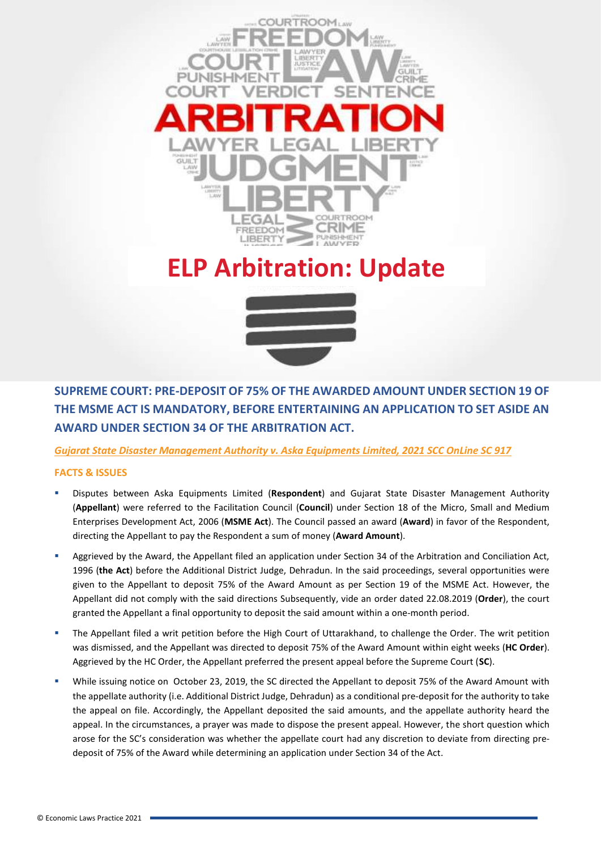

## **ELP Arbitration: Update**



**SUPREME COURT: PRE-DEPOSIT OF 75% OF THE AWARDED AMOUNT UNDER SECTION 19 OF THE MSME ACT IS MANDATORY, BEFORE ENTERTAINING AN APPLICATION TO SET ASIDE AN AWARD UNDER SECTION 34 OF THE ARBITRATION ACT.**

*Gujarat State Disaster Management Authority v. Aska Equipments Limited, 2021 SCC OnLine SC 917*

## **FACTS & ISSUES**

- Disputes between Aska Equipments Limited (**Respondent**) and Gujarat State Disaster Management Authority (**Appellant**) were referred to the Facilitation Council (**Council**) under Section 18 of the Micro, Small and Medium Enterprises Development Act, 2006 (**MSME Act**). The Council passed an award (**Award**) in favor of the Respondent, directing the Appellant to pay the Respondent a sum of money (**Award Amount**).
- Aggrieved by the Award, the Appellant filed an application under Section 34 of the Arbitration and Conciliation Act, 1996 (**the Act**) before the Additional District Judge, Dehradun. In the said proceedings, several opportunities were given to the Appellant to deposit 75% of the Award Amount as per Section 19 of the MSME Act. However, the Appellant did not comply with the said directions Subsequently, vide an order dated 22.08.2019 (**Order**), the court granted the Appellant a final opportunity to deposit the said amount within a one-month period.
- The Appellant filed a writ petition before the High Court of Uttarakhand, to challenge the Order. The writ petition was dismissed, and the Appellant was directed to deposit 75% of the Award Amount within eight weeks (**HC Order**). Aggrieved by the HC Order, the Appellant preferred the present appeal before the Supreme Court (**SC**).
- While issuing notice on October 23, 2019, the SC directed the Appellant to deposit 75% of the Award Amount with the appellate authority (i.e. Additional District Judge, Dehradun) as a conditional pre-deposit for the authority to take the appeal on file. Accordingly, the Appellant deposited the said amounts, and the appellate authority heard the appeal. In the circumstances, a prayer was made to dispose the present appeal. However, the short question which arose for the SC's consideration was whether the appellate court had any discretion to deviate from directing predeposit of 75% of the Award while determining an application under Section 34 of the Act.